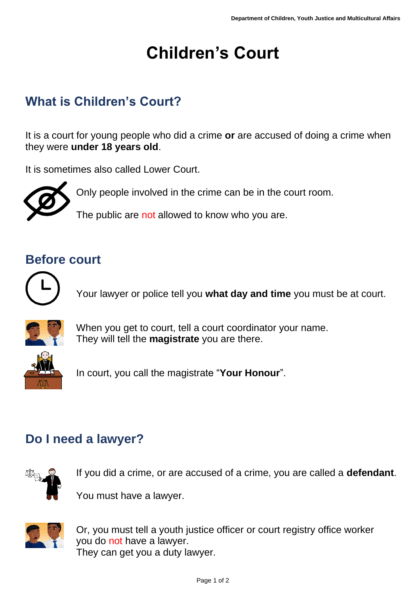# **Children's Court**

## **What is Children's Court?**

It is a court for young people who did a crime **or** are accused of doing a crime when they were **under 18 years old**.

It is sometimes also called Lower Court.



Only people involved in the crime can be in the court room.

The public are not allowed to know who you are.

## **Before court**



Your lawyer or police tell you **what day and time** you must be at court.



When you get to court, tell a court coordinator your name. They will tell the **magistrate** you are there.

In court, you call the magistrate "**Your Honour**".

## **Do I need a lawyer?**



If you did a crime, or are accused of a crime, you are called a **defendant**.

You must have a lawyer.



Or, you must tell a youth justice officer or court registry office worker you do not have a lawyer. They can get you a duty lawyer.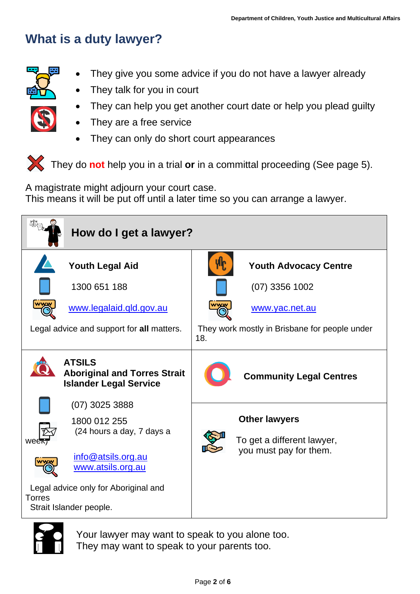## **What is a duty lawyer?**



- They give you some advice if you do not have a lawyer already
- They talk for you in court
- They can help you get another court date or help you plead guilty
- They are a free service
- They can only do short court appearances

They do **not** help you in a trial **or** in a committal proceeding (See page 5).

A magistrate might adjourn your court case. This means it will be put off until a later time so you can arrange a lawyer.





 Your lawyer may want to speak to you alone too. They may want to speak to your parents too.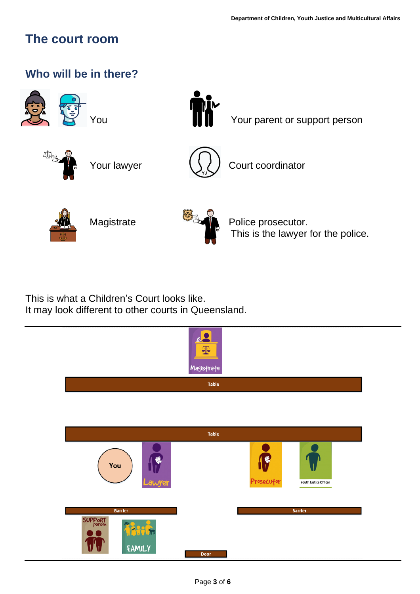## **The court room**

### **Who will be in there?**



This is what a Children's Court looks like. It may look different to other courts in Queensland.

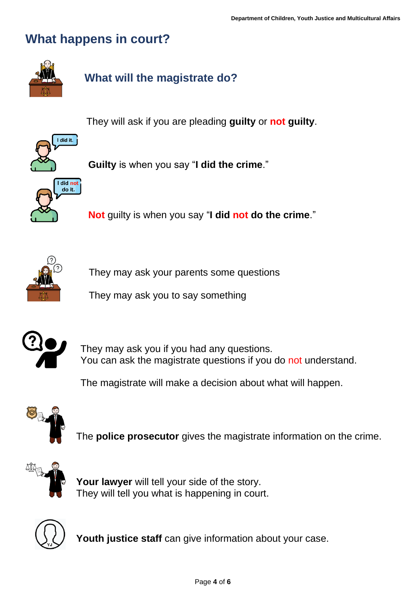## **What happens in court?**



## **What will the magistrate do?**

They will ask if you are pleading **guilty** or **not guilty**.



 **Guilty** is when you say "**I did the crime**."



 **Not** guilty is when you say "**I did not do the crime**."



They may ask your parents some questions

They may ask you to say something



They may ask you if you had any questions. You can ask the magistrate questions if you do not understand.

The magistrate will make a decision about what will happen.



The **police prosecutor** gives the magistrate information on the crime.



**Your lawyer** will tell your side of the story. They will tell you what is happening in court.



**Youth justice staff** can give information about your case.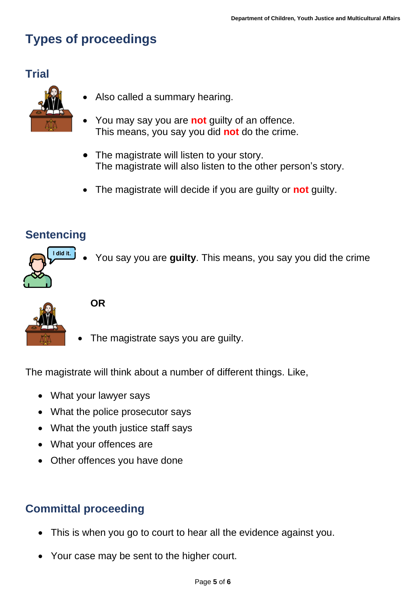## **Types of proceedings**

### **Trial**



- Also called a summary hearing.
- You may say you are **not** guilty of an offence. This means, you say you did **not** do the crime.
- The magistrate will listen to your story. The magistrate will also listen to the other person's story.
- The magistrate will decide if you are guilty or **not** guilty.

## **Sentencing**

I did it.

• You say you are **guilty**. This means, you say you did the crime



#### **OR**

The magistrate says you are guilty.

The magistrate will think about a number of different things. Like,

- What your lawyer says
- What the police prosecutor says
- What the youth justice staff says
- What your offences are
- Other offences you have done

#### **Committal proceeding**

- This is when you go to court to hear all the evidence against you.
- Your case may be sent to the higher court.